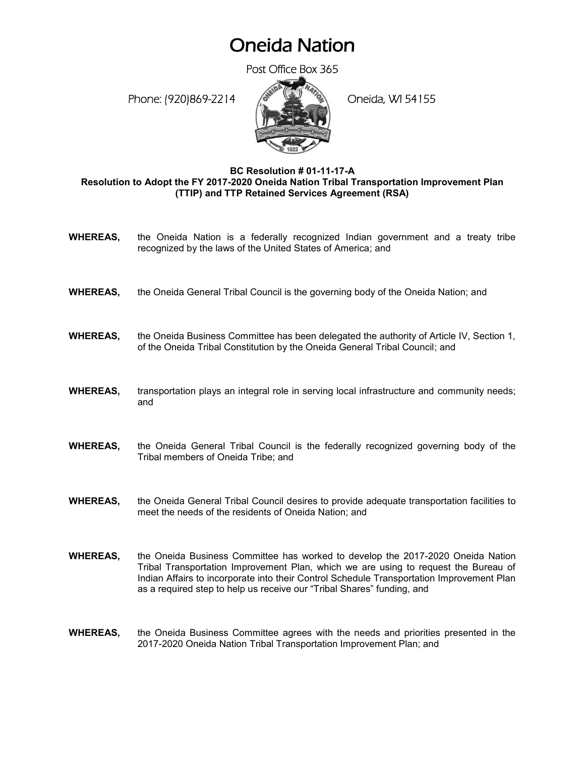## Oneida Nation

Post Office Box 365

Phone: (920)869-2214 (Oneida, WI 54155



## **BC Resolution # 01-11-17-A Resolution to Adopt the FY 2017-2020 Oneida Nation Tribal Transportation Improvement Plan (TTIP) and TTP Retained Services Agreement (RSA)**

- **WHEREAS,** the Oneida Nation is a federally recognized Indian government and a treaty tribe recognized by the laws of the United States of America; and
- **WHEREAS,** the Oneida General Tribal Council is the governing body of the Oneida Nation; and
- **WHEREAS,** the Oneida Business Committee has been delegated the authority of Article IV, Section 1, of the Oneida Tribal Constitution by the Oneida General Tribal Council; and
- **WHEREAS,** transportation plays an integral role in serving local infrastructure and community needs; and
- **WHEREAS,** the Oneida General Tribal Council is the federally recognized governing body of the Tribal members of Oneida Tribe; and
- **WHEREAS,** the Oneida General Tribal Council desires to provide adequate transportation facilities to meet the needs of the residents of Oneida Nation; and
- **WHEREAS,** the Oneida Business Committee has worked to develop the 2017-2020 Oneida Nation Tribal Transportation Improvement Plan, which we are using to request the Bureau of Indian Affairs to incorporate into their Control Schedule Transportation Improvement Plan as a required step to help us receive our "Tribal Shares" funding, and
- **WHEREAS,** the Oneida Business Committee agrees with the needs and priorities presented in the 2017-2020 Oneida Nation Tribal Transportation Improvement Plan; and